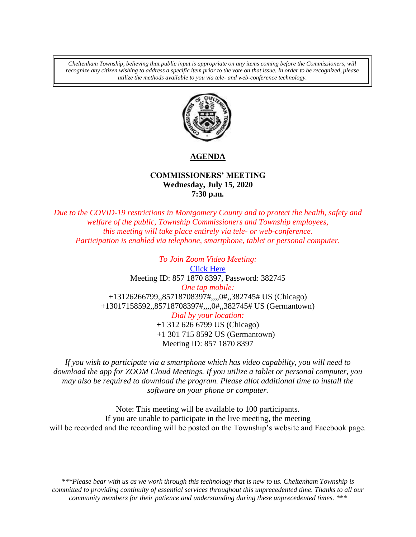*Cheltenham Township, believing that public input is appropriate on any items coming before the Commissioners, will recognize any citizen wishing to address a specific item prior to the vote on that issue. In order to be recognized, please utilize the methods available to you via tele- and web-conference technology.*



# **AGENDA**

## **COMMISSIONERS' MEETING Wednesday, July 15, 2020 7:30 p.m.**

*Due to the COVID-19 restrictions in Montgomery County and to protect the health, safety and welfare of the public, Township Commissioners and Township employees, this meeting will take place entirely via tele- or web-conference. Participation is enabled via telephone, smartphone, tablet or personal computer.*

> *To Join Zoom Video Meeting:* [Click Here](https://us02web.zoom.us/j/85718708397?pwd=Wm1Hbkd2VDdPdEY5S1lsall2d0xYdz09) Meeting ID: 857 1870 8397, Password: 382745 *One tap mobile:* +13126266799,,85718708397#,,,,0#,,382745# US (Chicago) +13017158592,,85718708397#,,,,0#,,382745# US (Germantown) *Dial by your location:* +1 312 626 6799 US (Chicago) +1 301 715 8592 US (Germantown) Meeting ID: 857 1870 8397

*If you wish to participate via a smartphone which has video capability, you will need to download the app for ZOOM Cloud Meetings. If you utilize a tablet or personal computer, you may also be required to download the program. Please allot additional time to install the software on your phone or computer.* 

Note: This meeting will be available to 100 participants. If you are unable to participate in the live meeting, the meeting will be recorded and the recording will be posted on the Township's website and Facebook page.

*\*\*\*Please bear with us as we work through this technology that is new to us. Cheltenham Township is committed to providing continuity of essential services throughout this unprecedented time. Thanks to all our community members for their patience and understanding during these unprecedented times. \*\*\**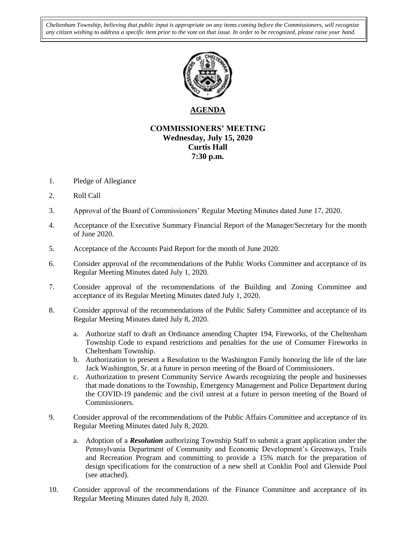*Cheltenham Township, believing that public input is appropriate on any items coming before the Commissioners, will recognize any citizen wishing to address a specific item prior to the vote on that issue. In order to be recognized, please raise your hand.*



# **AGENDA**

### **COMMISSIONERS' MEETING Wednesday, July 15, 2020 Curtis Hall 7:30 p.m.**

- 1. Pledge of Allegiance
- 2. Roll Call
- 3. Approval of the Board of Commissioners' Regular Meeting Minutes dated June 17, 2020.
- 4. Acceptance of the Executive Summary Financial Report of the Manager/Secretary for the month of June 2020.
- 5. Acceptance of the Accounts Paid Report for the month of June 2020.
- 6. Consider approval of the recommendations of the Public Works Committee and acceptance of its Regular Meeting Minutes dated July 1, 2020.
- 7. Consider approval of the recommendations of the Building and Zoning Committee and acceptance of its Regular Meeting Minutes dated July 1, 2020.
- 8. Consider approval of the recommendations of the Public Safety Committee and acceptance of its Regular Meeting Minutes dated July 8, 2020.
	- a. Authorize staff to draft an Ordinance amending Chapter 194, Fireworks, of the Cheltenham Township Code to expand restrictions and penalties for the use of Consumer Fireworks in Cheltenham Township.
	- b. Authorization to present a Resolution to the Washington Family honoring the life of the late Jack Washington, Sr. at a future in person meeting of the Board of Commissioners.
	- c. Authorization to present Community Service Awards recognizing the people and businesses that made donations to the Township, Emergency Management and Police Department during the COVID-19 pandemic and the civil unrest at a future in person meeting of the Board of Commissioners.
- 9. Consider approval of the recommendations of the Public Affairs Committee and acceptance of its Regular Meeting Minutes dated July 8, 2020.
	- a. Adoption of a *Resolution* authorizing Township Staff to submit a grant application under the Pennsylvania Department of Community and Economic Development's Greenways, Trails and Recreation Program and committing to provide a 15% match for the preparation of design specifications for the construction of a new shell at Conklin Pool and Glenside Pool (see attached).
- 10. Consider approval of the recommendations of the Finance Committee and acceptance of its Regular Meeting Minutes dated July 8, 2020.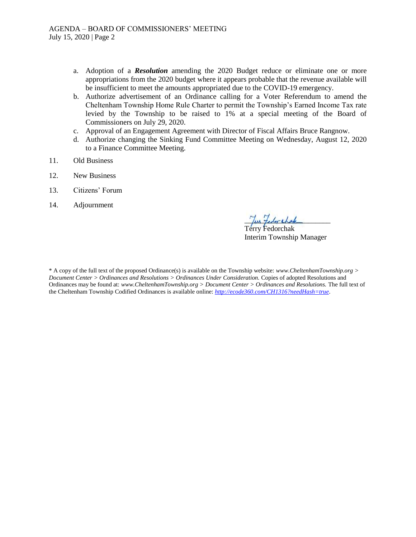- a. Adoption of a *Resolution* amending the 2020 Budget reduce or eliminate one or more appropriations from the 2020 budget where it appears probable that the revenue available will be insufficient to meet the amounts appropriated due to the COVID-19 emergency.
- b. Authorize advertisement of an Ordinance calling for a Voter Referendum to amend the Cheltenham Township Home Rule Charter to permit the Township's Earned Income Tax rate levied by the Township to be raised to 1% at a special meeting of the Board of Commissioners on July 29, 2020.
- c. Approval of an Engagement Agreement with Director of Fiscal Affairs Bruce Rangnow.
- d. Authorize changing the Sinking Fund Committee Meeting on Wednesday, August 12, 2020 to a Finance Committee Meeting.
- 11. Old Business
- 12. New Business
- 13. Citizens' Forum
- 14. Adjournment

Tur fedoration

Terry Fedorchak Interim Township Manager

\* A copy of the full text of the proposed Ordinance(s) is available on the Township website: *www.CheltenhamTownship.org > Document Center > Ordinances and Resolutions > Ordinances Under Consideration.* Copies of adopted Resolutions and Ordinances may be found at: *www.CheltenhamTownship.org > Document Center > Ordinances and Resolutions.* The full text of the Cheltenham Township Codified Ordinances is available online: *<http://ecode360.com/CH1316?needHash=true>*.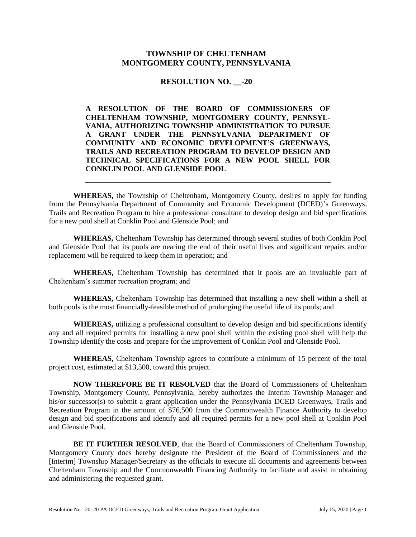#### **TOWNSHIP OF CHELTENHAM MONTGOMERY COUNTY, PENNSYLVANIA**

**RESOLUTION NO.** -20

**A RESOLUTION OF THE BOARD OF COMMISSIONERS OF CHELTENHAM TOWNSHIP, MONTGOMERY COUNTY, PENNSYL-VANIA, AUTHORIZING TOWNSHIP ADMINISTRATION TO PURSUE A GRANT UNDER THE PENNSYLVANIA DEPARTMENT OF COMMUNITY AND ECONOMIC DEVELOPMENT'S GREENWAYS, TRAILS AND RECREATION PROGRAM TO DEVELOP DESIGN AND TECHNICAL SPECIFICATIONS FOR A NEW POOL SHELL FOR CONKLIN POOL AND GLENSIDE POOL**

**WHEREAS,** the Township of Cheltenham, Montgomery County, desires to apply for funding from the Pennsylvania Department of Community and Economic Development (DCED)'s Greenways, Trails and Recreation Program to hire a professional consultant to develop design and bid specifications for a new pool shell at Conklin Pool and Glenside Pool; and

**WHEREAS,** Cheltenham Township has determined through several studies of both Conklin Pool and Glenside Pool that its pools are nearing the end of their useful lives and significant repairs and/or replacement will be required to keep them in operation; and

**WHEREAS,** Cheltenham Township has determined that it pools are an invaluable part of Cheltenham's summer recreation program; and

**WHEREAS,** Cheltenham Township has determined that installing a new shell within a shell at both pools is the most financially-feasible method of prolonging the useful life of its pools; and

**WHEREAS,** utilizing a professional consultant to develop design and bid specifications identify any and all required permits for installing a new pool shell within the existing pool shell will help the Township identify the costs and prepare for the improvement of Conklin Pool and Glenside Pool.

**WHEREAS,** Cheltenham Township agrees to contribute a minimum of 15 percent of the total project cost, estimated at \$13,500, toward this project.

**NOW THEREFORE BE IT RESOLVED** that the Board of Commissioners of Cheltenham Township, Montgomery County, Pennsylvania, hereby authorizes the Interim Township Manager and his/or successor(s) to submit a grant application under the Pennsylvania DCED Greenways, Trails and Recreation Program in the amount of \$76,500 from the Commonwealth Finance Authority to develop design and bid specifications and identify and all required permits for a new pool shell at Conklin Pool and Glenside Pool.

**BE IT FURTHER RESOLVED**, that the Board of Commissioners of Cheltenham Township, Montgomery County does hereby designate the President of the Board of Commissioners and the [Interim] Township Manager/Secretary as the officials to execute all documents and agreements between Cheltenham Township and the Commonwealth Financing Authority to facilitate and assist in obtaining and administering the requested grant.